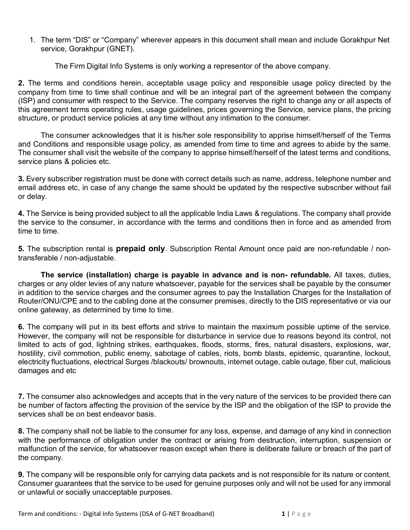1. The term "DIS" or "Company" wherever appears in this document shall mean and include Gorakhpur Net service, Gorakhpur (GNET).

The Firm Digital Info Systems is only working a representor of the above company.

**2.** The terms and conditions herein, acceptable usage policy and responsible usage policy directed by the company from time to time shall continue and will be an integral part of the agreement between the company (ISP) and consumer with respect to the Service. The company reserves the right to change any or all aspects of this agreement terms operating rules, usage guidelines, prices governing the Service, service plans, the pricing structure, or product service policies at any time without any intimation to the consumer.

The consumer acknowledges that it is his/her sole responsibility to apprise himself/herself of the Terms and Conditions and responsible usage policy, as amended from time to time and agrees to abide by the same. The consumer shall visit the website of the company to apprise himself/herself of the latest terms and conditions, service plans & policies etc.

**3.** Every subscriber registration must be done with correct details such as name, address, telephone number and email address etc, in case of any change the same should be updated by the respective subscriber without fail or delay.

**4.** The Service is being provided subject to all the applicable India Laws & regulations. The company shall provide the service to the consumer, in accordance with the terms and conditions then in force and as amended from time to time.

**5.** The subscription rental is **prepaid only**. Subscription Rental Amount once paid are non-refundable / nontransferable / non-adjustable.

**The service (installation) charge is payable in advance and is non- refundable.** All taxes, duties, charges or any older levies of any nature whatsoever, payable for the services shall be payable by the consumer in addition to the service charges and the consumer agrees to pay the Installation Charges for the Installation of Router/ONU/CPE and to the cabling done at the consumer premises, directly to the DIS representative or via our online gateway, as determined by time to time.

**6.** The company will put in its best efforts and strive to maintain the maximum possible uptime of the service. However, the company will not be responsible for disturbance in service due to reasons beyond its control, not limited to acts of god, lightning strikes, earthquakes, floods, storms, fires, natural disasters, explosions, war, hostility, civil commotion, public enemy, sabotage of cables, riots, bomb blasts, epidemic, quarantine, lockout, electricity fluctuations, electrical Surges /blackouts/ brownouts, internet outage, cable outage, fiber cut, malicious damages and etc

**7.** The consumer also acknowledges and accepts that in the very nature of the services to be provided there can be number of factors affecting the provision of the service by the ISP and the obligation of the ISP to provide the services shall be on best endeavor basis.

**8.** The company shall not be liable to the consumer for any loss, expense, and damage of any kind in connection with the performance of obligation under the contract or arising from destruction, interruption, suspension or malfunction of the service, for whatsoever reason except when there is deliberate failure or breach of the part of the company.

**9.** The company will be responsible only for carrying data packets and is not responsible for its nature or content. Consumer guarantees that the service to be used for genuine purposes only and will not be used for any immoral or unlawful or socially unacceptable purposes.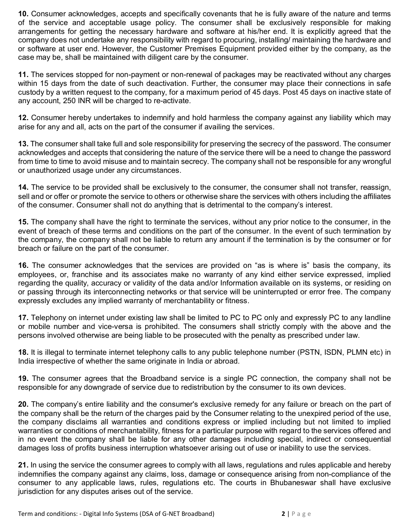**10.** Consumer acknowledges, accepts and specifically covenants that he is fully aware of the nature and terms of the service and acceptable usage policy. The consumer shall be exclusively responsible for making arrangements for getting the necessary hardware and software at his/her end. It is explicitly agreed that the company does not undertake any responsibility with regard to procuring, installing/ maintaining the hardware and or software at user end. However, the Customer Premises Equipment provided either by the company, as the case may be, shall be maintained with diligent care by the consumer.

**11.** The services stopped for non-payment or non-renewal of packages may be reactivated without any charges within 15 days from the date of such deactivation. Further, the consumer may place their connections in safe custody by a written request to the company, for a maximum period of 45 days. Post 45 days on inactive state of any account, 250 INR will be charged to re-activate.

**12.** Consumer hereby undertakes to indemnify and hold harmless the company against any liability which may arise for any and all, acts on the part of the consumer if availing the services.

**13.** The consumer shall take full and sole responsibility for preserving the secrecy of the password. The consumer acknowledges and accepts that considering the nature of the service there will be a need to change the password from time to time to avoid misuse and to maintain secrecy. The company shall not be responsible for any wrongful or unauthorized usage under any circumstances.

**14.** The service to be provided shall be exclusively to the consumer, the consumer shall not transfer, reassign, sell and or offer or promote the service to others or otherwise share the services with others including the affiliates of the consumer. Consumer shall not do anything that is detrimental to the company's interest.

**15.** The company shall have the right to terminate the services, without any prior notice to the consumer, in the event of breach of these terms and conditions on the part of the consumer. In the event of such termination by the company, the company shall not be liable to return any amount if the termination is by the consumer or for breach or failure on the part of the consumer.

**16.** The consumer acknowledges that the services are provided on "as is where is" basis the company, its employees, or, franchise and its associates make no warranty of any kind either service expressed, implied regarding the quality, accuracy or validity of the data and/or Information available on its systems, or residing on or passing through its interconnecting networks or that service will be uninterrupted or error free. The company expressly excludes any implied warranty of merchantability or fitness.

**17.** Telephony on internet under existing law shall be limited to PC to PC only and expressly PC to any landline or mobile number and vice-versa is prohibited. The consumers shall strictly comply with the above and the persons involved otherwise are being liable to be prosecuted with the penalty as prescribed under law.

**18.** It is illegal to terminate internet telephony calls to any public telephone number (PSTN, ISDN, PLMN etc) in India irrespective of whether the same originate in India or abroad.

**19.** The consumer agrees that the Broadband service is a single PC connection, the company shall not be responsible for any downgrade of service due to redistribution by the consumer to its own devices.

**20.** The company's entire liability and the consumer's exclusive remedy for any failure or breach on the part of the company shall be the return of the charges paid by the Consumer relating to the unexpired period of the use, the company disclaims all warranties and conditions express or implied including but not limited to implied warranties or conditions of merchantability, fitness for a particular purpose with regard to the services offered and in no event the company shall be liable for any other damages including special, indirect or consequential damages loss of profits business interruption whatsoever arising out of use or inability to use the services.

**21.** In using the service the consumer agrees to comply with all laws, regulations and rules applicable and hereby indemnifies the company against any claims, loss, damage or consequence arising from non-compliance of the consumer to any applicable laws, rules, regulations etc. The courts in Bhubaneswar shall have exclusive jurisdiction for any disputes arises out of the service.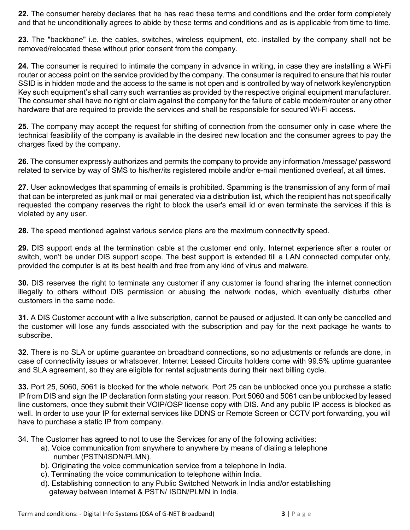**22.** The consumer hereby declares that he has read these terms and conditions and the order form completely and that he unconditionally agrees to abide by these terms and conditions and as is applicable from time to time.

**23.** The "backbone" i.e. the cables, switches, wireless equipment, etc. installed by the company shall not be removed/relocated these without prior consent from the company.

**24.** The consumer is required to intimate the company in advance in writing, in case they are installing a Wi-Fi router or access point on the service provided by the company. The consumer is required to ensure that his router SSID is in hidden mode and the access to the same is not open and is controlled by way of network key/encryption Key such equipment's shall carry such warranties as provided by the respective original equipment manufacturer. The consumer shall have no right or claim against the company for the failure of cable modem/router or any other hardware that are required to provide the services and shall be responsible for secured Wi-Fi access.

**25.** The company may accept the request for shifting of connection from the consumer only in case where the technical feasibility of the company is available in the desired new location and the consumer agrees to pay the charges fixed by the company.

**26.** The consumer expressly authorizes and permits the company to provide any information /message/ password related to service by way of SMS to his/her/its registered mobile and/or e-mail mentioned overleaf, at all times.

**27.** User acknowledges that spamming of emails is prohibited. Spamming is the transmission of any form of mail that can be interpreted as junk mail or mail generated via a distribution list, which the recipient has not specifically requested the company reserves the right to block the user's email id or even terminate the services if this is violated by any user.

**28.** The speed mentioned against various service plans are the maximum connectivity speed.

**29.** DIS support ends at the termination cable at the customer end only. Internet experience after a router or switch, won't be under DIS support scope. The best support is extended till a LAN connected computer only, provided the computer is at its best health and free from any kind of virus and malware.

**30.** DIS reserves the right to terminate any customer if any customer is found sharing the internet connection illegally to others without DIS permission or abusing the network nodes, which eventually disturbs other customers in the same node.

**31.** A DIS Customer account with a live subscription, cannot be paused or adjusted. It can only be cancelled and the customer will lose any funds associated with the subscription and pay for the next package he wants to subscribe.

**32.** There is no SLA or uptime guarantee on broadband connections, so no adjustments or refunds are done, in case of connectivity issues or whatsoever. Internet Leased Circuits holders come with 99.5% uptime guarantee and SLA agreement, so they are eligible for rental adjustments during their next billing cycle.

**33.** Port 25, 5060, 5061 is blocked for the whole network. Port 25 can be unblocked once you purchase a static IP from DIS and sign the IP declaration form stating your reason. Port 5060 and 5061 can be unblocked by leased line customers, once they submit their VOIP/OSP license copy with DIS. And any public IP access is blocked as well. In order to use your IP for external services like DDNS or Remote Screen or CCTV port forwarding, you will have to purchase a static IP from company.

34. The Customer has agreed to not to use the Services for any of the following activities:

- a). Voice communication from anywhere to anywhere by means of dialing a telephone number (PSTN/ISDN/PLMN).
- b). Originating the voice communication service from a telephone in India.
- c). Terminating the voice communication to telephone within India.
- d). Establishing connection to any Public Switched Network in India and/or establishing gateway between Internet & PSTN/ ISDN/PLMN in India.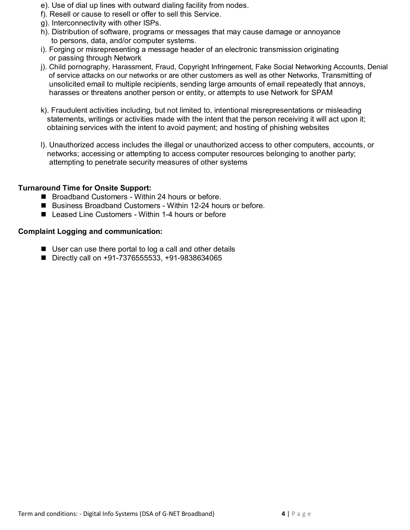- e). Use of dial up lines with outward dialing facility from nodes.
- f). Resell or cause to resell or offer to sell this Service.
- g). Interconnectivity with other ISPs.
- h). Distribution of software, programs or messages that may cause damage or annoyance to persons, data, and/or computer systems.
- i). Forging or misrepresenting a message header of an electronic transmission originating or passing through Network
- j). Child pornography, Harassment, Fraud, Copyright Infringement, Fake Social Networking Accounts, Denial of service attacks on our networks or are other customers as well as other Networks, Transmitting of unsolicited email to multiple recipients, sending large amounts of email repeatedly that annoys, harasses or threatens another person or entity, or attempts to use Network for SPAM
- k). Fraudulent activities including, but not limited to, intentional misrepresentations or misleading statements, writings or activities made with the intent that the person receiving it will act upon it; obtaining services with the intent to avoid payment; and hosting of phishing websites
- l). Unauthorized access includes the illegal or unauthorized access to other computers, accounts, or networks; accessing or attempting to access computer resources belonging to another party; attempting to penetrate security measures of other systems

## **Turnaround Time for Onsite Support:**

- Broadband Customers Within 24 hours or before.
- Business Broadband Customers Within 12-24 hours or before.
- Leased Line Customers Within 1-4 hours or before

### **Complaint Logging and communication:**

- User can use there portal to log a call and other details
- Directly call on +91-7376555533, +91-9838634065